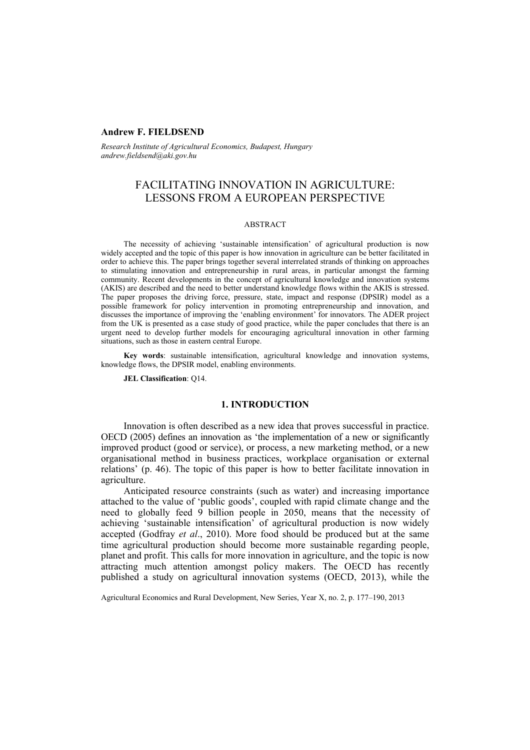#### **Andrew F. FIELDSEND**

*Research Institute of Agricultural Economics, Budapest, Hungary andrew.fieldsend@aki.gov.hu* 

# FACILITATING INNOVATION IN AGRICULTURE: LESSONS FROM A EUROPEAN PERSPECTIVE

#### ABSTRACT

The necessity of achieving 'sustainable intensification' of agricultural production is now widely accepted and the topic of this paper is how innovation in agriculture can be better facilitated in order to achieve this. The paper brings together several interrelated strands of thinking on approaches to stimulating innovation and entrepreneurship in rural areas, in particular amongst the farming community. Recent developments in the concept of agricultural knowledge and innovation systems (AKIS) are described and the need to better understand knowledge flows within the AKIS is stressed. The paper proposes the driving force, pressure, state, impact and response (DPSIR) model as a possible framework for policy intervention in promoting entrepreneurship and innovation, and discusses the importance of improving the 'enabling environment' for innovators. The ADER project from the UK is presented as a case study of good practice, while the paper concludes that there is an urgent need to develop further models for encouraging agricultural innovation in other farming situations, such as those in eastern central Europe.

**Key words**: sustainable intensification, agricultural knowledge and innovation systems, knowledge flows, the DPSIR model, enabling environments.

**JEL Classification**: Q14.

#### **1. INTRODUCTION**

Innovation is often described as a new idea that proves successful in practice. OECD (2005) defines an innovation as 'the implementation of a new or significantly improved product (good or service), or process, a new marketing method, or a new organisational method in business practices, workplace organisation or external relations' (p. 46). The topic of this paper is how to better facilitate innovation in agriculture.

Anticipated resource constraints (such as water) and increasing importance attached to the value of 'public goods', coupled with rapid climate change and the need to globally feed 9 billion people in 2050, means that the necessity of achieving 'sustainable intensification' of agricultural production is now widely accepted (Godfray *et al*., 2010). More food should be produced but at the same time agricultural production should become more sustainable regarding people, planet and profit. This calls for more innovation in agriculture, and the topic is now attracting much attention amongst policy makers. The OECD has recently published a study on agricultural innovation systems (OECD, 2013), while the

Agricultural Economics and Rural Development, New Series, Year X, no. 2, p. 177–190, 2013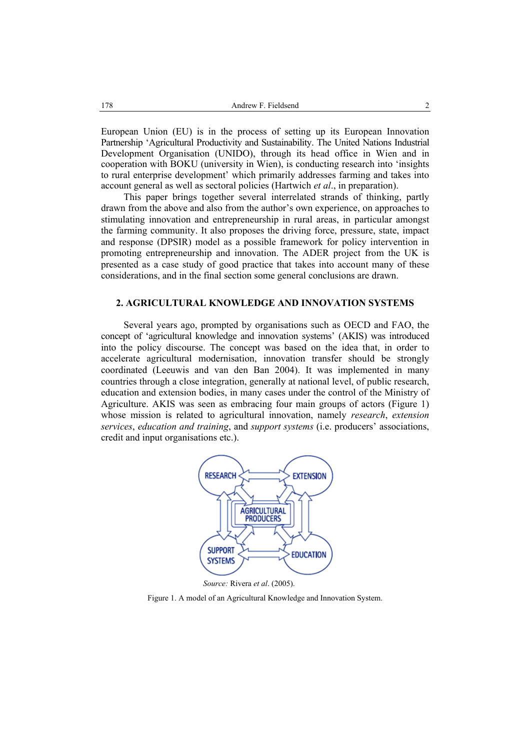European Union (EU) is in the process of setting up its European Innovation Partnership 'Agricultural Productivity and Sustainability. The United Nations Industrial Development Organisation (UNIDO), through its head office in Wien and in cooperation with BOKU (university in Wien), is conducting research into 'insights to rural enterprise development' which primarily addresses farming and takes into account general as well as sectoral policies (Hartwich *et al*., in preparation).

This paper brings together several interrelated strands of thinking, partly drawn from the above and also from the author's own experience, on approaches to stimulating innovation and entrepreneurship in rural areas, in particular amongst the farming community. It also proposes the driving force, pressure, state, impact and response (DPSIR) model as a possible framework for policy intervention in promoting entrepreneurship and innovation. The ADER project from the UK is presented as a case study of good practice that takes into account many of these considerations, and in the final section some general conclusions are drawn.

#### **2. AGRICULTURAL KNOWLEDGE AND INNOVATION SYSTEMS**

Several years ago, prompted by organisations such as OECD and FAO, the concept of 'agricultural knowledge and innovation systems' (AKIS) was introduced into the policy discourse. The concept was based on the idea that, in order to accelerate agricultural modernisation, innovation transfer should be strongly coordinated (Leeuwis and van den Ban 2004). It was implemented in many countries through a close integration, generally at national level, of public research, education and extension bodies, in many cases under the control of the Ministry of Agriculture. AKIS was seen as embracing four main groups of actors (Figure 1) whose mission is related to agricultural innovation, namely *research*, *extension services*, *education and training*, and *support systems* (i.e. producers' associations, credit and input organisations etc.).



 *Source:* Rivera *et al*. (2005).

Figure 1. A model of an Agricultural Knowledge and Innovation System.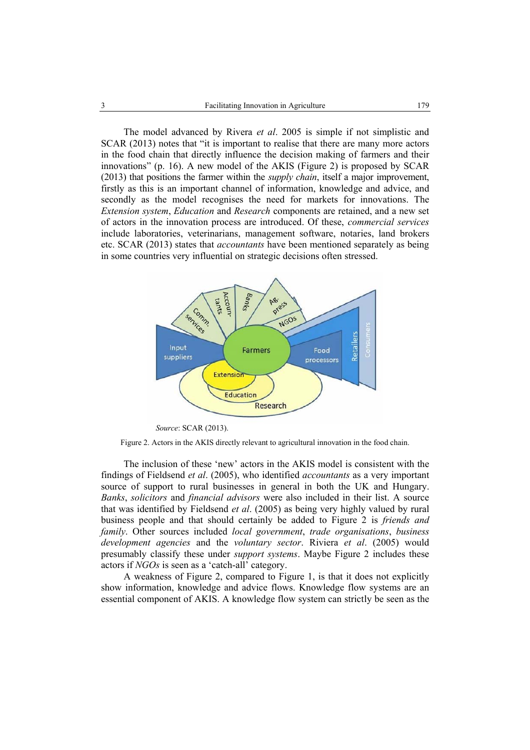The model advanced by Rivera *et al*. 2005 is simple if not simplistic and SCAR (2013) notes that "it is important to realise that there are many more actors in the food chain that directly influence the decision making of farmers and their innovations" (p. 16). A new model of the AKIS (Figure 2) is proposed by SCAR (2013) that positions the farmer within the *supply chain*, itself a major improvement, firstly as this is an important channel of information, knowledge and advice, and secondly as the model recognises the need for markets for innovations. The *Extension system*, *Education* and *Research* components are retained, and a new set of actors in the innovation process are introduced. Of these, *commercial services* include laboratories, veterinarians, management software, notaries, land brokers etc. SCAR (2013) states that *accountants* have been mentioned separately as being in some countries very influential on strategic decisions often stressed.



 *Source*: SCAR (2013).

Figure 2. Actors in the AKIS directly relevant to agricultural innovation in the food chain.

The inclusion of these 'new' actors in the AKIS model is consistent with the findings of Fieldsend *et al*. (2005), who identified *accountants* as a very important source of support to rural businesses in general in both the UK and Hungary. *Banks*, *solicitors* and *financial advisors* were also included in their list. A source that was identified by Fieldsend *et al*. (2005) as being very highly valued by rural business people and that should certainly be added to Figure 2 is *friends and family*. Other sources included *local government*, *trade organisations*, *business development agencies* and the *voluntary sector*. Riviera *et al*. (2005) would presumably classify these under *support systems*. Maybe Figure 2 includes these actors if *NGOs* is seen as a 'catch-all' category.

A weakness of Figure 2, compared to Figure 1, is that it does not explicitly show information, knowledge and advice flows. Knowledge flow systems are an essential component of AKIS. A knowledge flow system can strictly be seen as the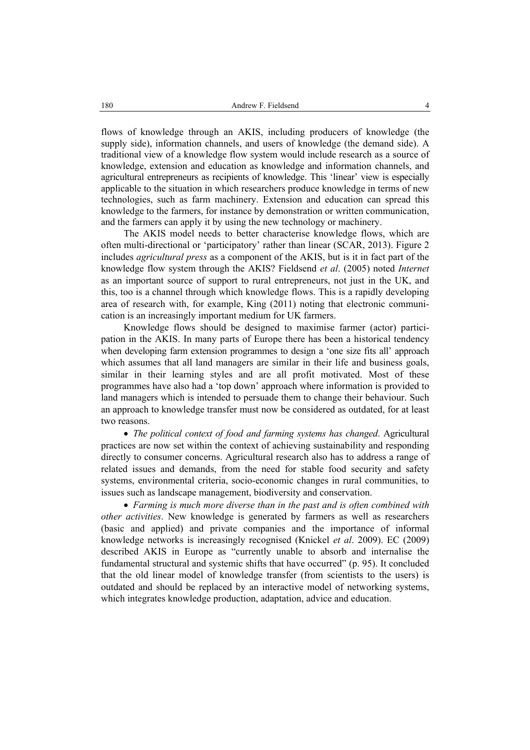flows of knowledge through an AKIS, including producers of knowledge (the supply side), information channels, and users of knowledge (the demand side). A traditional view of a knowledge flow system would include research as a source of knowledge, extension and education as knowledge and information channels, and agricultural entrepreneurs as recipients of knowledge. This 'linear' view is especially applicable to the situation in which researchers produce knowledge in terms of new technologies, such as farm machinery. Extension and education can spread this knowledge to the farmers, for instance by demonstration or written communication, and the farmers can apply it by using the new technology or machinery.

The AKIS model needs to better characterise knowledge flows, which are often multi-directional or 'participatory' rather than linear (SCAR, 2013). Figure 2 includes *agricultural press* as a component of the AKIS, but is it in fact part of the knowledge flow system through the AKIS? Fieldsend *et al*. (2005) noted *Internet* as an important source of support to rural entrepreneurs, not just in the UK, and this, too is a channel through which knowledge flows. This is a rapidly developing area of research with, for example, King (2011) noting that electronic communication is an increasingly important medium for UK farmers.

Knowledge flows should be designed to maximise farmer (actor) participation in the AKIS. In many parts of Europe there has been a historical tendency when developing farm extension programmes to design a 'one size fits all' approach which assumes that all land managers are similar in their life and business goals, similar in their learning styles and are all profit motivated. Most of these programmes have also had a 'top down' approach where information is provided to land managers which is intended to persuade them to change their behaviour. Such an approach to knowledge transfer must now be considered as outdated, for at least two reasons.

• *The political context of food and farming systems has changed*. Agricultural practices are now set within the context of achieving sustainability and responding directly to consumer concerns. Agricultural research also has to address a range of related issues and demands, from the need for stable food security and safety systems, environmental criteria, socio-economic changes in rural communities, to issues such as landscape management, biodiversity and conservation.

• *Farming is much more diverse than in the past and is often combined with other activities*. New knowledge is generated by farmers as well as researchers (basic and applied) and private companies and the importance of informal knowledge networks is increasingly recognised (Knickel *et al*. 2009). EC (2009) described AKIS in Europe as "currently unable to absorb and internalise the fundamental structural and systemic shifts that have occurred" (p. 95). It concluded that the old linear model of knowledge transfer (from scientists to the users) is outdated and should be replaced by an interactive model of networking systems, which integrates knowledge production, adaptation, advice and education.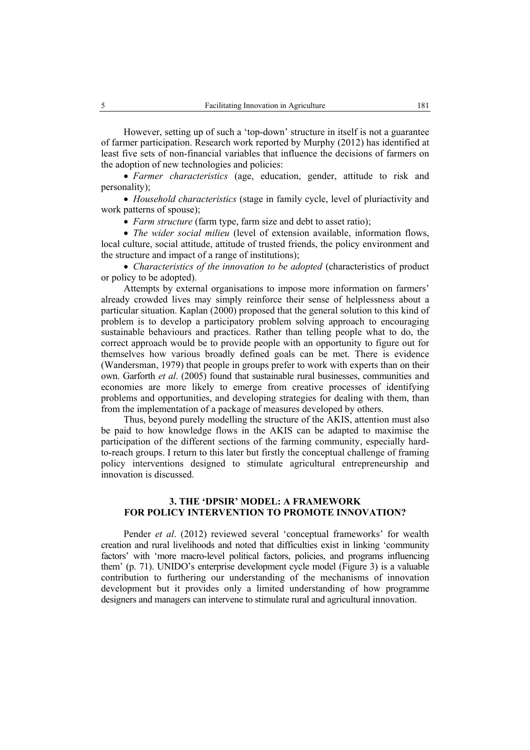However, setting up of such a 'top-down' structure in itself is not a guarantee of farmer participation. Research work reported by Murphy (2012) has identified at least five sets of non-financial variables that influence the decisions of farmers on the adoption of new technologies and policies:

• *Farmer characteristics* (age, education, gender, attitude to risk and personality);

• *Household characteristics* (stage in family cycle, level of pluriactivity and work patterns of spouse);

• *Farm structure* (farm type, farm size and debt to asset ratio);

• *The wider social milieu* (level of extension available, information flows, local culture, social attitude, attitude of trusted friends, the policy environment and the structure and impact of a range of institutions);

• *Characteristics of the innovation to be adopted* (characteristics of product or policy to be adopted).

Attempts by external organisations to impose more information on farmers' already crowded lives may simply reinforce their sense of helplessness about a particular situation. Kaplan (2000) proposed that the general solution to this kind of problem is to develop a participatory problem solving approach to encouraging sustainable behaviours and practices. Rather than telling people what to do, the correct approach would be to provide people with an opportunity to figure out for themselves how various broadly defined goals can be met. There is evidence (Wandersman, 1979) that people in groups prefer to work with experts than on their own. Garforth *et al*. (2005) found that sustainable rural businesses, communities and economies are more likely to emerge from creative processes of identifying problems and opportunities, and developing strategies for dealing with them, than from the implementation of a package of measures developed by others.

Thus, beyond purely modelling the structure of the AKIS, attention must also be paid to how knowledge flows in the AKIS can be adapted to maximise the participation of the different sections of the farming community, especially hardto-reach groups. I return to this later but firstly the conceptual challenge of framing policy interventions designed to stimulate agricultural entrepreneurship and innovation is discussed.

### **3. THE 'DPSIR' MODEL: A FRAMEWORK FOR POLICY INTERVENTION TO PROMOTE INNOVATION?**

Pender *et al.* (2012) reviewed several 'conceptual frameworks' for wealth creation and rural livelihoods and noted that difficulties exist in linking 'community factors' with 'more macro-level political factors, policies, and programs influencing them' (p. 71). UNIDO's enterprise development cycle model (Figure 3) is a valuable contribution to furthering our understanding of the mechanisms of innovation development but it provides only a limited understanding of how programme designers and managers can intervene to stimulate rural and agricultural innovation.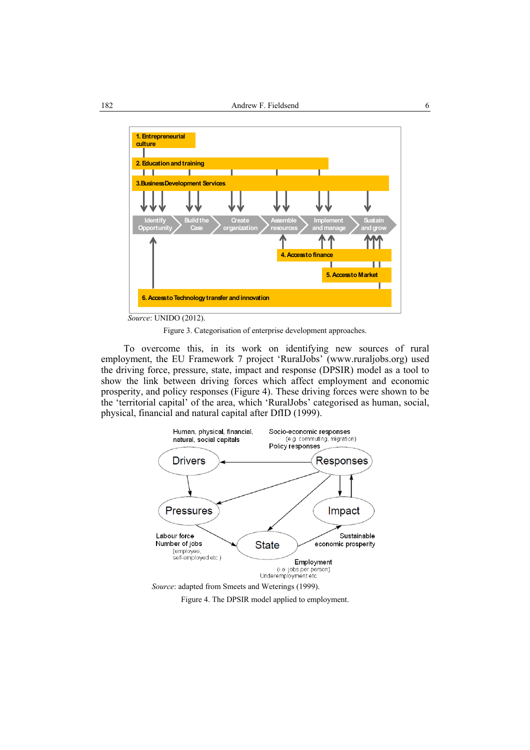

 *Source*: UNIDO (2012).

Figure 3. Categorisation of enterprise development approaches.

To overcome this, in its work on identifying new sources of rural employment, the EU Framework 7 project 'RuralJobs' (www.ruraljobs.org) used the driving force, pressure, state, impact and response (DPSIR) model as a tool to show the link between driving forces which affect employment and economic prosperity, and policy responses (Figure 4). These driving forces were shown to be the 'territorial capital' of the area, which 'RuralJobs' categorised as human, social, physical, financial and natural capital after DfID (1999).



Figure 4. The DPSIR model applied to employment.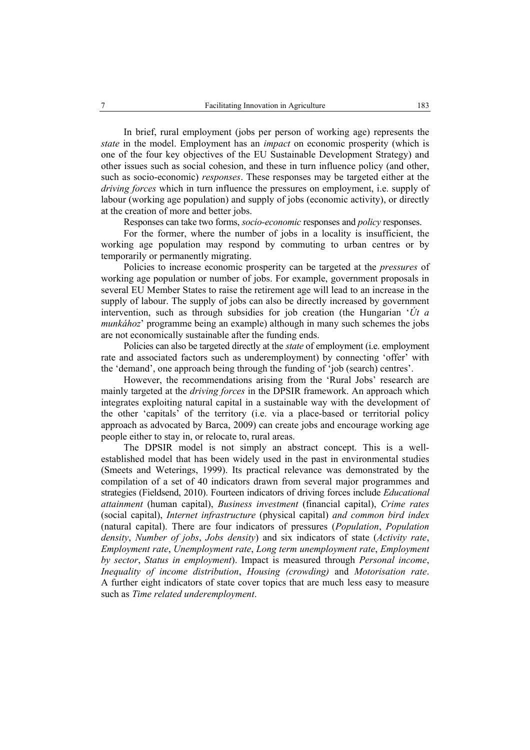In brief, rural employment (jobs per person of working age) represents the *state* in the model. Employment has an *impact* on economic prosperity (which is one of the four key objectives of the EU Sustainable Development Strategy) and other issues such as social cohesion, and these in turn influence policy (and other, such as socio-economic) *responses*. These responses may be targeted either at the *driving forces* which in turn influence the pressures on employment, i.e. supply of labour (working age population) and supply of jobs (economic activity), or directly at the creation of more and better jobs.

Responses can take two forms, *socio-economic* responses and *policy* responses.

For the former, where the number of jobs in a locality is insufficient, the working age population may respond by commuting to urban centres or by temporarily or permanently migrating.

Policies to increase economic prosperity can be targeted at the *pressures* of working age population or number of jobs. For example, government proposals in several EU Member States to raise the retirement age will lead to an increase in the supply of labour. The supply of jobs can also be directly increased by government intervention, such as through subsidies for job creation (the Hungarian '*Út a munkához*' programme being an example) although in many such schemes the jobs are not economically sustainable after the funding ends.

Policies can also be targeted directly at the *state* of employment (i.e. employment rate and associated factors such as underemployment) by connecting 'offer' with the 'demand', one approach being through the funding of 'job (search) centres'.

However, the recommendations arising from the 'Rural Jobs' research are mainly targeted at the *driving forces* in the DPSIR framework. An approach which integrates exploiting natural capital in a sustainable way with the development of the other 'capitals' of the territory (i.e. via a place-based or territorial policy approach as advocated by Barca, 2009) can create jobs and encourage working age people either to stay in, or relocate to, rural areas.

The DPSIR model is not simply an abstract concept. This is a wellestablished model that has been widely used in the past in environmental studies (Smeets and Weterings, 1999). Its practical relevance was demonstrated by the compilation of a set of 40 indicators drawn from several major programmes and strategies (Fieldsend, 2010). Fourteen indicators of driving forces include *Educational attainment* (human capital), *Business investment* (financial capital), *Crime rates* (social capital), *Internet infrastructure* (physical capital) *and common bird index* (natural capital). There are four indicators of pressures (*Population*, *Population density*, *Number of jobs*, *Jobs density*) and six indicators of state (*Activity rate*, *Employment rate*, *Unemployment rate*, *Long term unemployment rate*, *Employment by sector*, *Status in employment*). Impact is measured through *Personal income*, *Inequality of income distribution*, *Housing (crowding)* and *Motorisation rate*. A further eight indicators of state cover topics that are much less easy to measure such as *Time related underemployment*.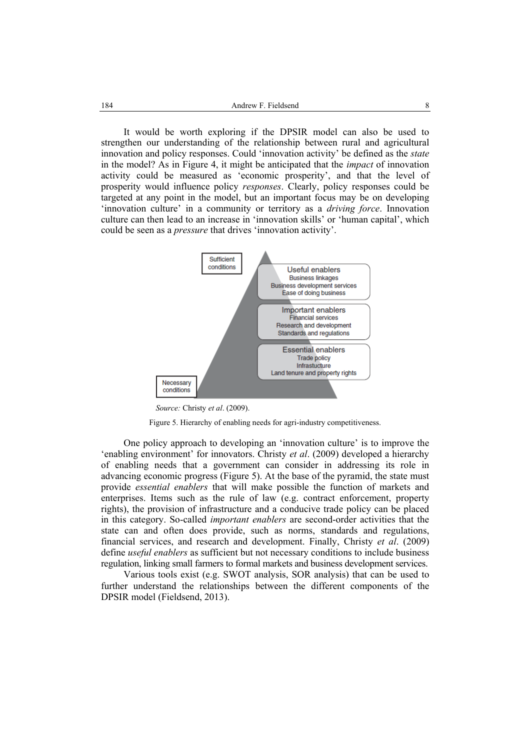It would be worth exploring if the DPSIR model can also be used to strengthen our understanding of the relationship between rural and agricultural innovation and policy responses. Could 'innovation activity' be defined as the *state* in the model? As in Figure 4, it might be anticipated that the *impact* of innovation activity could be measured as 'economic prosperity', and that the level of prosperity would influence policy *responses*. Clearly, policy responses could be targeted at any point in the model, but an important focus may be on developing 'innovation culture' in a community or territory as a *driving force*. Innovation culture can then lead to an increase in 'innovation skills' or 'human capital', which could be seen as a *pressure* that drives 'innovation activity'.



 *Source:* Christy *et al*. (2009).

Figure 5. Hierarchy of enabling needs for agri-industry competitiveness.

One policy approach to developing an 'innovation culture' is to improve the 'enabling environment' for innovators. Christy *et al*. (2009) developed a hierarchy of enabling needs that a government can consider in addressing its role in advancing economic progress (Figure 5). At the base of the pyramid, the state must provide *essential enablers* that will make possible the function of markets and enterprises. Items such as the rule of law (e.g. contract enforcement, property rights), the provision of infrastructure and a conducive trade policy can be placed in this category. So-called *important enablers* are second-order activities that the state can and often does provide, such as norms, standards and regulations, financial services, and research and development. Finally, Christy *et al*. (2009) define *useful enablers* as sufficient but not necessary conditions to include business regulation, linking small farmers to formal markets and business development services.

Various tools exist (e.g. SWOT analysis, SOR analysis) that can be used to further understand the relationships between the different components of the DPSIR model (Fieldsend, 2013).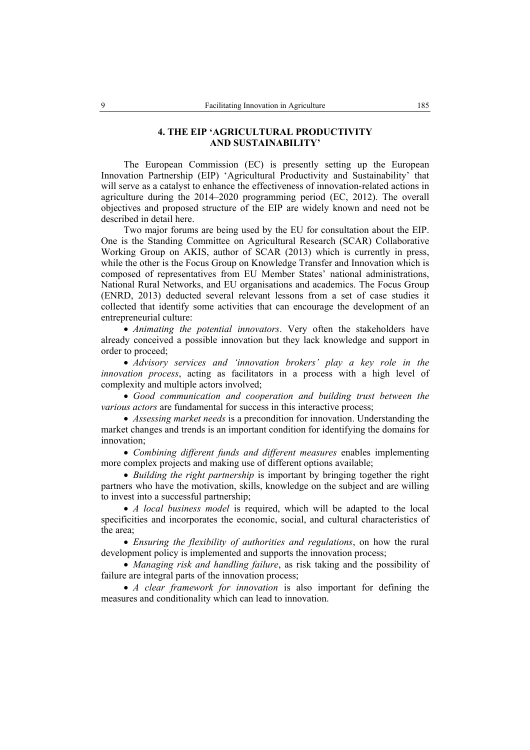## **4. THE EIP 'AGRICULTURAL PRODUCTIVITY AND SUSTAINABILITY'**

The European Commission (EC) is presently setting up the European Innovation Partnership (EIP) 'Agricultural Productivity and Sustainability' that will serve as a catalyst to enhance the effectiveness of innovation-related actions in agriculture during the 2014–2020 programming period (EC, 2012). The overall objectives and proposed structure of the EIP are widely known and need not be described in detail here.

Two major forums are being used by the EU for consultation about the EIP. One is the Standing Committee on Agricultural Research (SCAR) Collaborative Working Group on AKIS, author of SCAR (2013) which is currently in press, while the other is the Focus Group on Knowledge Transfer and Innovation which is composed of representatives from EU Member States' national administrations, National Rural Networks, and EU organisations and academics. The Focus Group (ENRD, 2013) deducted several relevant lessons from a set of case studies it collected that identify some activities that can encourage the development of an entrepreneurial culture:

• *Animating the potential innovators*. Very often the stakeholders have already conceived a possible innovation but they lack knowledge and support in order to proceed;

• *Advisory services and 'innovation brokers' play a key role in the innovation process*, acting as facilitators in a process with a high level of complexity and multiple actors involved;

• *Good communication and cooperation and building trust between the various actors* are fundamental for success in this interactive process;

• *Assessing market needs* is a precondition for innovation. Understanding the market changes and trends is an important condition for identifying the domains for innovation;

• *Combining different funds and different measures* enables implementing more complex projects and making use of different options available;

• *Building the right partnership* is important by bringing together the right partners who have the motivation, skills, knowledge on the subject and are willing to invest into a successful partnership;

• *A local business model* is required, which will be adapted to the local specificities and incorporates the economic, social, and cultural characteristics of the area;

• *Ensuring the flexibility of authorities and regulations*, on how the rural development policy is implemented and supports the innovation process;

• *Managing risk and handling failure*, as risk taking and the possibility of failure are integral parts of the innovation process;

• *A clear framework for innovation* is also important for defining the measures and conditionality which can lead to innovation.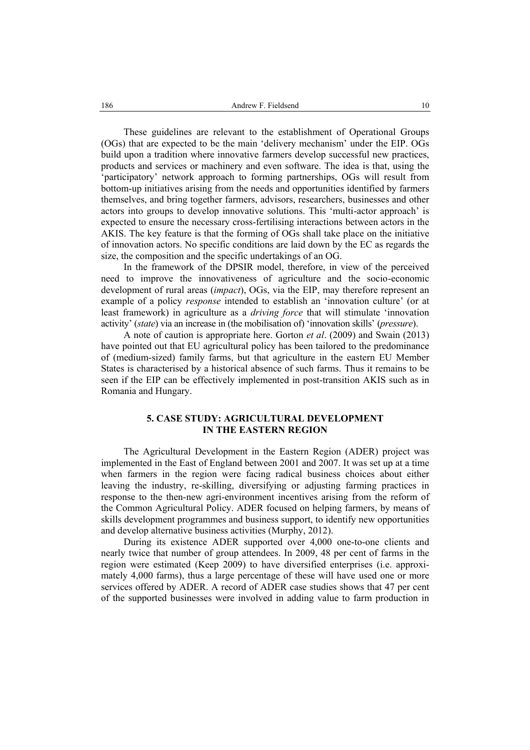These guidelines are relevant to the establishment of Operational Groups (OGs) that are expected to be the main 'delivery mechanism' under the EIP. OGs build upon a tradition where innovative farmers develop successful new practices, products and services or machinery and even software. The idea is that, using the 'participatory' network approach to forming partnerships, OGs will result from bottom-up initiatives arising from the needs and opportunities identified by farmers themselves, and bring together farmers, advisors, researchers, businesses and other actors into groups to develop innovative solutions. This 'multi-actor approach' is expected to ensure the necessary cross-fertilising interactions between actors in the AKIS. The key feature is that the forming of OGs shall take place on the initiative of innovation actors. No specific conditions are laid down by the EC as regards the size, the composition and the specific undertakings of an OG.

In the framework of the DPSIR model, therefore, in view of the perceived need to improve the innovativeness of agriculture and the socio-economic development of rural areas (*impact*), OGs, via the EIP, may therefore represent an example of a policy *response* intended to establish an 'innovation culture' (or at least framework) in agriculture as a *driving force* that will stimulate 'innovation activity' (*state*) via an increase in (the mobilisation of) 'innovation skills' (*pressure*).

A note of caution is appropriate here. Gorton *et al*. (2009) and Swain (2013) have pointed out that EU agricultural policy has been tailored to the predominance of (medium-sized) family farms, but that agriculture in the eastern EU Member States is characterised by a historical absence of such farms. Thus it remains to be seen if the EIP can be effectively implemented in post-transition AKIS such as in Romania and Hungary.

## **5. CASE STUDY: AGRICULTURAL DEVELOPMENT IN THE EASTERN REGION**

The Agricultural Development in the Eastern Region (ADER) project was implemented in the East of England between 2001 and 2007. It was set up at a time when farmers in the region were facing radical business choices about either leaving the industry, re-skilling, diversifying or adjusting farming practices in response to the then-new agri-environment incentives arising from the reform of the Common Agricultural Policy. ADER focused on helping farmers, by means of skills development programmes and business support, to identify new opportunities and develop alternative business activities (Murphy, 2012).

During its existence ADER supported over 4,000 one-to-one clients and nearly twice that number of group attendees. In 2009, 48 per cent of farms in the region were estimated (Keep 2009) to have diversified enterprises (i.e. approximately 4,000 farms), thus a large percentage of these will have used one or more services offered by ADER. A record of ADER case studies shows that 47 per cent of the supported businesses were involved in adding value to farm production in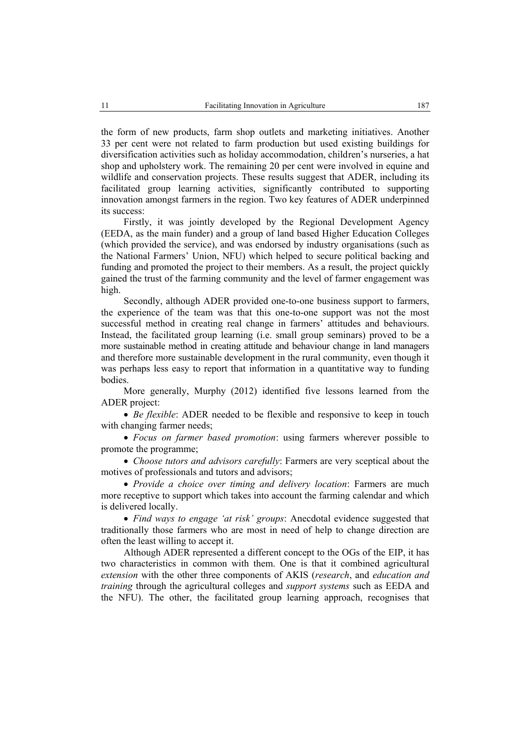the form of new products, farm shop outlets and marketing initiatives. Another 33 per cent were not related to farm production but used existing buildings for diversification activities such as holiday accommodation, children's nurseries, a hat shop and upholstery work. The remaining 20 per cent were involved in equine and wildlife and conservation projects. These results suggest that ADER, including its facilitated group learning activities, significantly contributed to supporting innovation amongst farmers in the region. Two key features of ADER underpinned its success:

Firstly, it was jointly developed by the Regional Development Agency (EEDA, as the main funder) and a group of land based Higher Education Colleges (which provided the service), and was endorsed by industry organisations (such as the National Farmers' Union, NFU) which helped to secure political backing and funding and promoted the project to their members. As a result, the project quickly gained the trust of the farming community and the level of farmer engagement was high.

Secondly, although ADER provided one-to-one business support to farmers, the experience of the team was that this one-to-one support was not the most successful method in creating real change in farmers' attitudes and behaviours. Instead, the facilitated group learning (i.e. small group seminars) proved to be a more sustainable method in creating attitude and behaviour change in land managers and therefore more sustainable development in the rural community, even though it was perhaps less easy to report that information in a quantitative way to funding bodies.

More generally, Murphy (2012) identified five lessons learned from the ADER project:

• *Be flexible*: ADER needed to be flexible and responsive to keep in touch with changing farmer needs;

• *Focus on farmer based promotion*: using farmers wherever possible to promote the programme;

• *Choose tutors and advisors carefully*: Farmers are very sceptical about the motives of professionals and tutors and advisors;

• *Provide a choice over timing and delivery location*: Farmers are much more receptive to support which takes into account the farming calendar and which is delivered locally.

• *Find ways to engage 'at risk' groups*: Anecdotal evidence suggested that traditionally those farmers who are most in need of help to change direction are often the least willing to accept it.

Although ADER represented a different concept to the OGs of the EIP, it has two characteristics in common with them. One is that it combined agricultural *extension* with the other three components of AKIS (*research*, and *education and training* through the agricultural colleges and *support systems* such as EEDA and the NFU). The other, the facilitated group learning approach, recognises that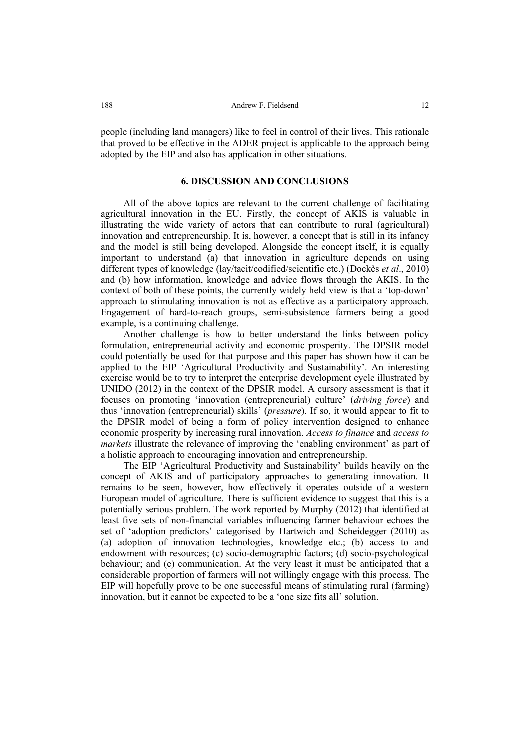people (including land managers) like to feel in control of their lives. This rationale that proved to be effective in the ADER project is applicable to the approach being adopted by the EIP and also has application in other situations.

#### **6. DISCUSSION AND CONCLUSIONS**

All of the above topics are relevant to the current challenge of facilitating agricultural innovation in the EU. Firstly, the concept of AKIS is valuable in illustrating the wide variety of actors that can contribute to rural (agricultural) innovation and entrepreneurship. It is, however, a concept that is still in its infancy and the model is still being developed. Alongside the concept itself, it is equally important to understand (a) that innovation in agriculture depends on using different types of knowledge (lay/tacit/codified/scientific etc.) (Dockès *et al*., 2010) and (b) how information, knowledge and advice flows through the AKIS. In the context of both of these points, the currently widely held view is that a 'top-down' approach to stimulating innovation is not as effective as a participatory approach. Engagement of hard-to-reach groups, semi-subsistence farmers being a good example, is a continuing challenge.

Another challenge is how to better understand the links between policy formulation, entrepreneurial activity and economic prosperity. The DPSIR model could potentially be used for that purpose and this paper has shown how it can be applied to the EIP 'Agricultural Productivity and Sustainability'. An interesting exercise would be to try to interpret the enterprise development cycle illustrated by UNIDO (2012) in the context of the DPSIR model. A cursory assessment is that it focuses on promoting 'innovation (entrepreneurial) culture' (*driving force*) and thus 'innovation (entrepreneurial) skills' (*pressure*). If so, it would appear to fit to the DPSIR model of being a form of policy intervention designed to enhance economic prosperity by increasing rural innovation. *Access to finance* and *access to markets* illustrate the relevance of improving the 'enabling environment' as part of a holistic approach to encouraging innovation and entrepreneurship.

The EIP 'Agricultural Productivity and Sustainability' builds heavily on the concept of AKIS and of participatory approaches to generating innovation. It remains to be seen, however, how effectively it operates outside of a western European model of agriculture. There is sufficient evidence to suggest that this is a potentially serious problem. The work reported by Murphy (2012) that identified at least five sets of non-financial variables influencing farmer behaviour echoes the set of 'adoption predictors' categorised by Hartwich and Scheidegger (2010) as (a) adoption of innovation technologies, knowledge etc.; (b) access to and endowment with resources; (c) socio-demographic factors; (d) socio-psychological behaviour; and (e) communication. At the very least it must be anticipated that a considerable proportion of farmers will not willingly engage with this process. The EIP will hopefully prove to be one successful means of stimulating rural (farming) innovation, but it cannot be expected to be a 'one size fits all' solution.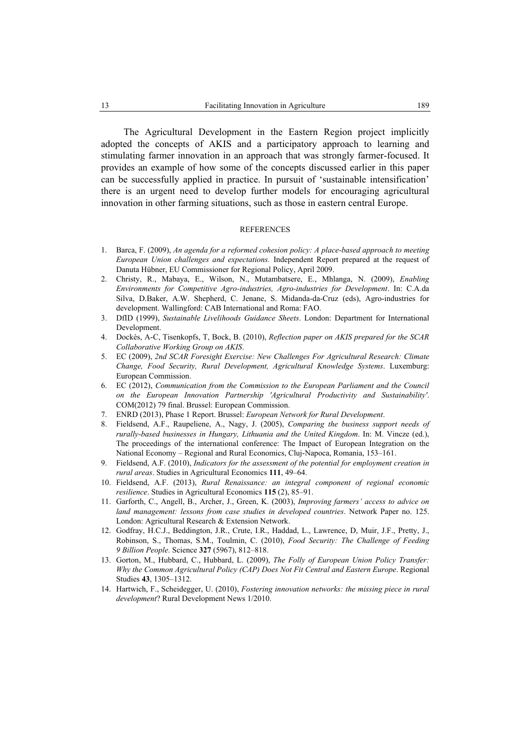The Agricultural Development in the Eastern Region project implicitly adopted the concepts of AKIS and a participatory approach to learning and stimulating farmer innovation in an approach that was strongly farmer-focused. It provides an example of how some of the concepts discussed earlier in this paper can be successfully applied in practice. In pursuit of 'sustainable intensification' there is an urgent need to develop further models for encouraging agricultural innovation in other farming situations, such as those in eastern central Europe.

#### **REFERENCES**

- 1. Barca, F. (2009), *An agenda for a reformed cohesion policy: A place-based approach to meeting European Union challenges and expectations.* Independent Report prepared at the request of Danuta Hübner, EU Commissioner for Regional Policy, April 2009.
- 2. Christy, R., Mabaya, E., Wilson, N., Mutambatsere, E., Mhlanga, N. (2009), *Enabling Environments for Competitive Agro-industries, Agro-industries for Development*. In: C.A.da Silva, D.Baker, A.W. Shepherd, C. Jenane, S. Midanda-da-Cruz (eds), Agro-industries for development. Wallingford: CAB International and Roma: FAO.
- 3. DfID (1999), *Sustainable Livelihoods Guidance Sheets*. London: Department for International Development.
- 4. Dockès, A-C, Tisenkopfs, T, Bock, B. (2010), *Reflection paper on AKIS prepared for the SCAR Collaborative Working Group on AKIS*.
- 5. EC (2009), *2nd SCAR Foresight Exercise: New Challenges For Agricultural Research: Climate Change, Food Security, Rural Development, Agricultural Knowledge Systems*. Luxemburg: European Commission.
- 6. EC (2012), *Communication from the Commission to the European Parliament and the Council on the European Innovation Partnership 'Agricultural Productivity and Sustainability'*. COM(2012) 79 final. Brussel: European Commission.
- 7. ENRD (2013), Phase 1 Report. Brussel: *European Network for Rural Development*.
- 8. Fieldsend, A.F., Raupeliene, A., Nagy, J. (2005), *Comparing the business support needs of rurally-based businesses in Hungary, Lithuania and the United Kingdom*. In: M. Vincze (ed.), The proceedings of the international conference: The Impact of European Integration on the National Economy – Regional and Rural Economics, Cluj-Napoca, Romania, 153–161.
- 9. Fieldsend, A.F. (2010), *Indicators for the assessment of the potential for employment creation in rural areas*. Studies in Agricultural Economics **111**, 49–64.
- 10. Fieldsend, A.F. (2013), *Rural Renaissance: an integral component of regional economic resilience*. Studies in Agricultural Economics **115** (2), 85–91.
- 11. Garforth, C., Angell, B., Archer, J., Green, K. (2003), *Improving farmers' access to advice on land management: lessons from case studies in developed countries*. Network Paper no. 125. London: Agricultural Research & Extension Network.
- 12. Godfray, H.C.J., Beddington, J.R., Crute, I.R., Haddad, L., Lawrence, D, Muir, J.F., Pretty, J., Robinson, S., Thomas, S.M., Toulmin, C. (2010), *Food Security: The Challenge of Feeding 9 Billion People*. Science **327** (5967), 812–818.
- 13. Gorton, M., Hubbard, C., Hubbard, L. (2009), *The Folly of European Union Policy Transfer: Why the Common Agricultural Policy (CAP) Does Not Fit Central and Eastern Europe*. Regional Studies **43**, 1305–1312.
- 14. Hartwich, F., Scheidegger, U. (2010), *Fostering innovation networks: the missing piece in rural development*? Rural Development News 1/2010.